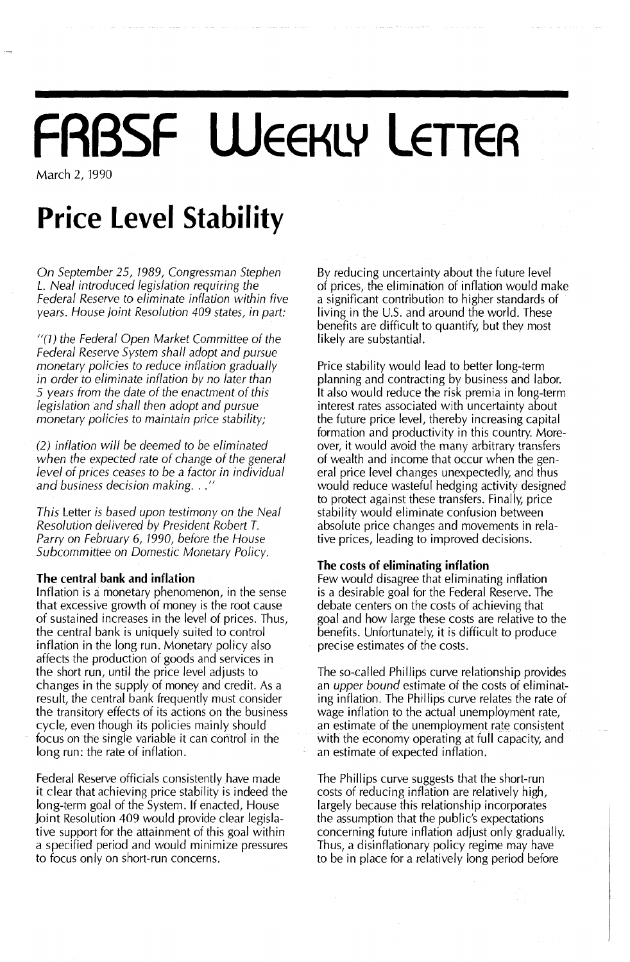# **FRBSF WEEKLY LETTER**

March 2, 1990

### **Price Level Stability**

*On September* 25, 7989, *Congressman Stephen* L. *Neal introduced legislation requiring the Federal Reserve to eliminate inflation within five years. House Joint Resolution* 409 *states, in part:*

*"(1) the Federal Open Market Committee* of *the Federal Reserve System shall adopt and pursue monetary policies to reduce inflation gradually in order to eliminate inflation by no later than 5 years from the date* of *the enactment* of *this legislation and shall then adopt and pursue monetary policies to maintain price stability;*

*(2) inflation will be deemed to be eliminated when the expected rate* of *change* of *the general level* of *prices ceases to be* a *factor in individual and business decision making.* .. "

*This* Letter *is based upon testimony on the Neal Resolution delivered by President Robert T. Parry on February* 6, *7990, before the House Subcommittee on Domestic Monetary Policy.*

### **The central bank and inflation**

Inflation is a monetary phenomenon, in the sense that excessive growth of money is the root cause of sustained increases in the level of prices. Thus, the central bank is uniquely suited to control inflation in the long run. Monetary policy also affects the production of goods and services in the short run, until the price level adjusts to changes in the supply of money and credit. As a result, the central bank frequently must consider the transitory effects of its actions on the business cycle, even though its policies mainly should focus on the single variable it can control in the long run: the rate of inflation.

Federal Reserve officials consistently have made it clear that achieving price stability is indeed the long-term goal of the System. If enacted, House Joint Resolution 409 would provide clear legislative support for the attainment of this goal within a specified period and would minimize pressures to focus only on short-run concerns.

By reducing uncertainty about the future level of prices, the elimination of inflation would make a significant contribution to higher standards of living in the U.S. and around the world. These benefits are difficult to quantify, but they most likely are substantial.

Price stability would lead to better long-term planning and contracting by business and labor. It also would reduce the risk premia in long-term interest rates associated with uncertainty about the future price level, thereby increasing capital formation and productivity in this country. Moreover, it would avoid the many arbitrary transfers of wealth and income that occur when the general price level changes unexpectedly, and thus would reduce wasteful hedging activity designed to protect against these transfers. Finally, price stability would eliminate confusion between absolute price changes and movements in relative prices, leading to improved decisions.

### **The costs of eliminating inflation**

Few would disagree that eliminating inflation is a desirable goal for the Federal Reserve. The debate centers on the costs of achieving that goal and how large these costs are relative to the benefits. Unfortunately, it is difficult to produce precise estimates of the costs.

The so-called Phillips curve relationship provides an *upper bound* estimate of the costs of eliminating inflation. The Phillips curve relates the rate of wage inflation to the actual unemployment rate, an estimate of the unemployment rate consistent with the economy operating at full capacity, and an estimate of expected inflation.

The Phillips curve suggests that the short-run costs of reducing inflation are relatively high, largely because this relationship incorporates the assumption that the public's expectations concerning future inflation adjust only gradually. Thus, a disinflationary policy regime may have to be in place for a relatively long period before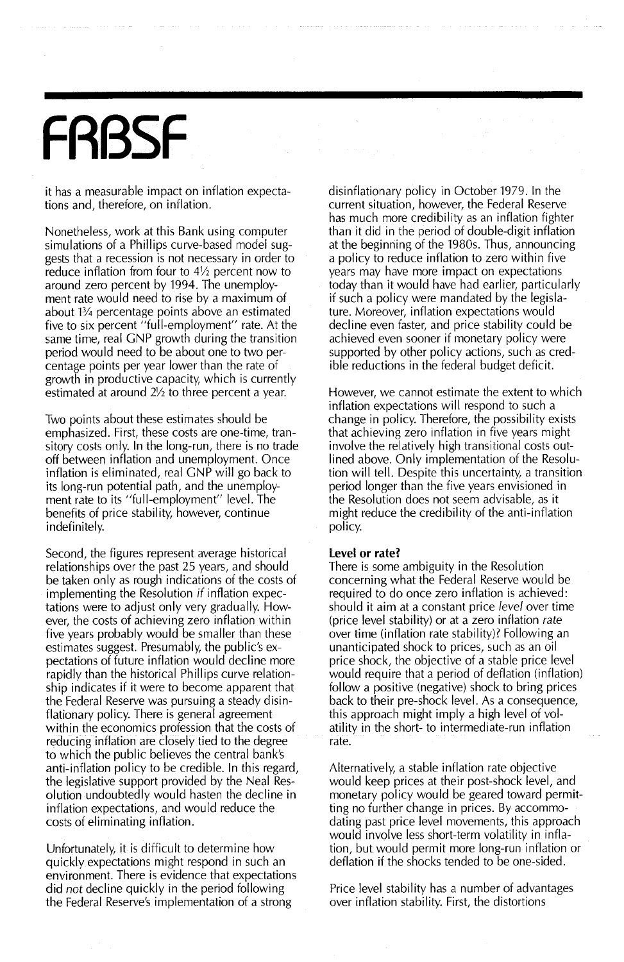## **FRBSF**

it has a measurable impact on inflation expectations and, therefore, on inflation.

Nonetheless, work at this Bank using computer simulations of a Phillips curve-based model suggests that a recession is not necessary in order to reduce inflation from four to  $4\frac{1}{2}$  percent now to around zero percent by 1994. The unemployment rate would need to rise by a maximum of about 1% percentage points above an estimated five to six percent "full-employment" rate. At the same time, real GNP growth during the transition period would need to be about one to two percentage points per year lower than the rate of growth in productive capacity, which is currently estimated at around  $2\frac{1}{2}$  to three percent a year.

Two points about these estimates should be emphasized. First, these costs are one-time, transitory costs only. In the long-run, there is no trade off between inflation and unemployment. Once inflation is eliminated, real GNP will go back to its long-run potential path, and the unemployment rate to its "full-employment" level. The benefits of price stability, however, continue indefinitely.

Second, the figures represent average historical relationships over the past 25 years, and should be taken only as rough indications of the costs of implementing the Resolution if inflation expectations were to adjust only very gradually. However, the costs of achieving zero inflation within five years probably would be smaller than these estimates suggest. Presumably, the public's expectations of future inflation would decline more rapidly than the historical Phillips curve relationship indicates if it were to become apparent that the Federal Reserve was pursuing a steady disinflationary policy. There is general agreement within the economics profession that the costs of reducing inflation are closely tied to the degree to which the public believes the central bank's anti-inflation policy to be credible. In this regard, the legislative support provided by the Neal Resolution undoubtedly would hasten the decline in inflation expectations, and would reduce the costs of eliminating inflation.

Unfortunately, it is difficult to determine how quickly expectations might respond in such an environment. There is evidence that expectations did not decline quickly in the period following the Federal Reserve's implementation of a strong

disinflationary policy in October 1979. In the current situation, however, the Federal Reserve has much more credibility as an inflation fighter than it did in the period of double-digit inflation at the beginning of the 1980s. Thus, announcing a policy to reduce inflation to zero within five years may have more impact on expectations today than it would have had earlier, particularly if such a policy were mandated by the legislature. Moreover, inflation expectations would decline even faster, and price stability could be achieved even sooner if monetary policy were supported by other policy actions, such as credible reductions in the federal budget deficit.

However, we cannot estimate the extent to which inflation expectations will respond to such a change in policy. Therefore, the possibility exists that achieving zero inflation in five years might involve the relatively high transitional costs outlined above. Only implementation of the Resolution will tell. Despite this uncertainty, a transition period longer than the five years envisioned in the Resolution does not seem advisable, as it might reduce the credibility of the anti-inflation policy.

#### **Level or rate?**

There is some ambiguity in the Resolution concerning what the Federal Reserve would be required to do once zero inflation is achieved: should it aim at a constant price level over time (price level stability) or at a zero inflation rate over time (inflation rate stability)? Following an unanticipated shock to prices, such as an oil price shock, the objective of a stable price level would require that a period of deflation (inflation) follow a positive (negative) shock to bring prices back to their pre-shock level. As a consequence, this approach might imply a high level of volatility in the short- to intermediate-run inflation rate.

Alternatively, a stable inflation rate objective would keep prices at their post-shock level, and monetary policy would be geared toward permitting no further change in prices. By accommodating past price level movements, this approach would involve less short-term volatility in inflation, but would permit more long-run inflation or deflation if the shocks tended to be one-sided.

Price level stability has a number of advantages over inflation stability. First, the distortions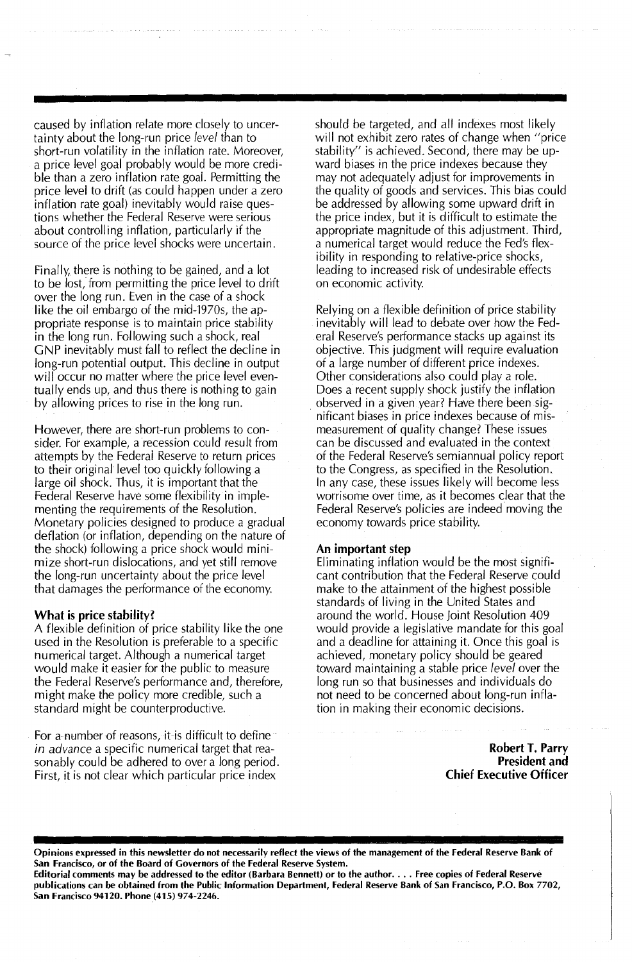caused by inflation relate more closely to uncertainty about the long-run price *level* than to short-run volatility in the inflation rate. Moreover, a price level goal probably would be more credible than a zero inflation rate goal. Permitting the price level to drift (as could happen under a zero inflation rate goal) inevitably would raise questions whether the Federal Reserve were serious about controlling inflation, particularly if the source of the price level shocks were uncertain.

Finally, there is nothing to be gained, and a lot to be lost, from permitting the price level to drift over the long run. Even in the case of a shock like the oil embargo of the mid-1970s, the appropriate response is to maintain price stability in the long run. Following such a shock, real GNP inevitably must fall to reflect the decline in long-run potential output. This decline in output will occur no matter where the price level eventually ends up, and thus there is nothing to gain by allowing prices to rise in the long run.

However, there are short-run problems to consider.For example, a recession could result from attempts by the Federal Reserve to return prices to their original level too quickly following a large oil shock. Thus, it is important that the Federal Reserve have some flexibility in implementing the requirements of the Resolution. Monetary policies designed to produce a gradual deflation (or inflation, depending on the nature of the shock) following a price shock would minimize short-run dislocations, and yet still remove the long-run uncertainty about the price level that damages the performance of the economy.

### What is price stability?

A flexible definition of price stability like the one used in the Resolution is preferable to a specific numerical target. Although a numerical target would make it easier for the public to measure the Federal Reserve's performance and, therefore, might make the policy more credible, such a standard might be counterproductive.

For a number of reasons, it is difficult to define *in advance* a specific numerical target that reasonably could be adhered to over a long period. First, it is not clear which particular price index

should be targeted, and all indexes most likely will not exhibit zero rates of change when "price stability" is achieved. Second, there may be upward biases in the price indexes because they may not adequately adjust for improvements in the quality of goods and services. This bias could be addressed by allowing some upward drift in the price index, but it is difficult to estimate the appropriate magnitude of this adjustment. Third, a numerical target would reduce the Fed's flexibility in responding to relative-price shocks, leading to increased risk of undesirable effects on economic activity.

Relying on a flexible definition of price stability inevitably will lead to debate over how the Federal Reserve's performance stacks up against its objective. This judgment will require evaluation of a large number of different price indexes. Other considerations also could play a role. Does a recent supply shock justify the inflation observed in a given year? Have there been significant biases in price indexes because of mismeasurement of quality change? These issues can be discussed and evaluated in the context of the Federal Reserve's semiannual policy report to the Congress, as specified in the Resolution. In any case, these issues likely will become less worrisome over time, as it becomes clear that the Federal Reserve's policies are indeed moving the economy towards price stability.

#### An important step

Eliminating inflation would be the most significant contribution that the Federal Reserve could make to the attainment of the highest possible standards of living in the United States and around the world. House Joint Resolution 409 would provide a legislative mandate for this goal and a deadline for attaining it. Once this goal is achieved, monetary policy should be geared toward maintaining a stable price *level* over the long run so that businesses and individuals do not need to be concerned about long-run inflation in making their economic decisions.

> Robert T. Parry President and Chief Executive Officer

Opinions expressed in this newsletter do not necessarily reflect the views of the management of the Federal Reserve Bank of San Francisco, or of the Board of Governors of the Federal Reserve System. Editorial comments may be addressed to the editor (Barbara Bennett) or to the author.... Free copies of Federal Reserve

publications can be obtained from the Public Information Department, Federal Reserve Bank of San Francisco, P.O. Box 7702, San Francisco 94120. Phone (415) 974-2246.